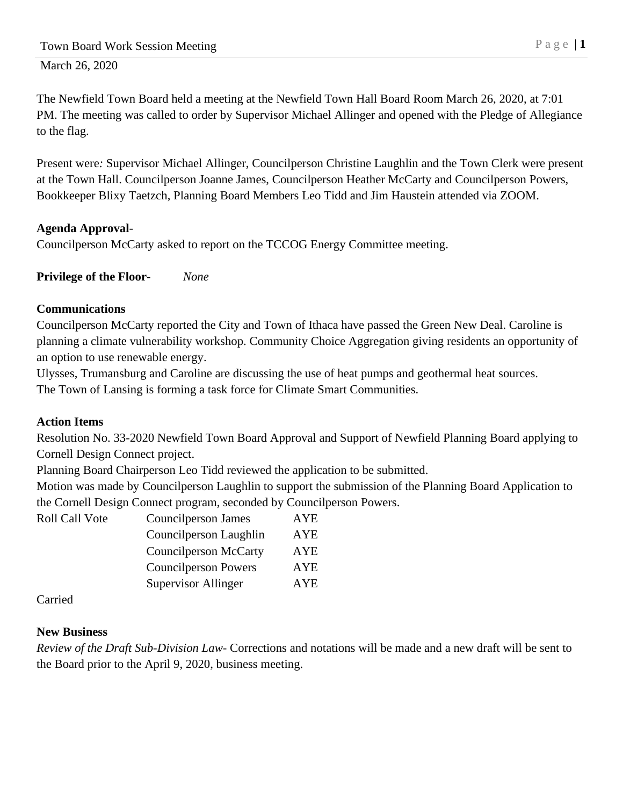The Newfield Town Board held a meeting at the Newfield Town Hall Board Room March 26, 2020, at 7:01 PM. The meeting was called to order by Supervisor Michael Allinger and opened with the Pledge of Allegiance to the flag.

Present were*:* Supervisor Michael Allinger, Councilperson Christine Laughlin and the Town Clerk were present at the Town Hall. Councilperson Joanne James, Councilperson Heather McCarty and Councilperson Powers, Bookkeeper Blixy Taetzch, Planning Board Members Leo Tidd and Jim Haustein attended via ZOOM.

## **Agenda Approval**-

Councilperson McCarty asked to report on the TCCOG Energy Committee meeting.

**Privilege of the Floor***- None*

## **Communications**

Councilperson McCarty reported the City and Town of Ithaca have passed the Green New Deal. Caroline is planning a climate vulnerability workshop. Community Choice Aggregation giving residents an opportunity of an option to use renewable energy.

Ulysses, Trumansburg and Caroline are discussing the use of heat pumps and geothermal heat sources. The Town of Lansing is forming a task force for Climate Smart Communities.

## **Action Items**

Resolution No. 33-2020 Newfield Town Board Approval and Support of Newfield Planning Board applying to Cornell Design Connect project.

Planning Board Chairperson Leo Tidd reviewed the application to be submitted.

Motion was made by Councilperson Laughlin to support the submission of the Planning Board Application to the Cornell Design Connect program, seconded by Councilperson Powers.

Roll Call Vote Councilperson James AYE

| Councilperson James          | AID        |
|------------------------------|------------|
| Councilperson Laughlin       | <b>AYE</b> |
| <b>Councilperson McCarty</b> | <b>AYE</b> |
| <b>Councilperson Powers</b>  | <b>AYE</b> |
| <b>Supervisor Allinger</b>   | <b>AYE</b> |
|                              |            |

Carried

# **New Business**

*Review of the Draft Sub-Division Law-* Corrections and notations will be made and a new draft will be sent to the Board prior to the April 9, 2020, business meeting.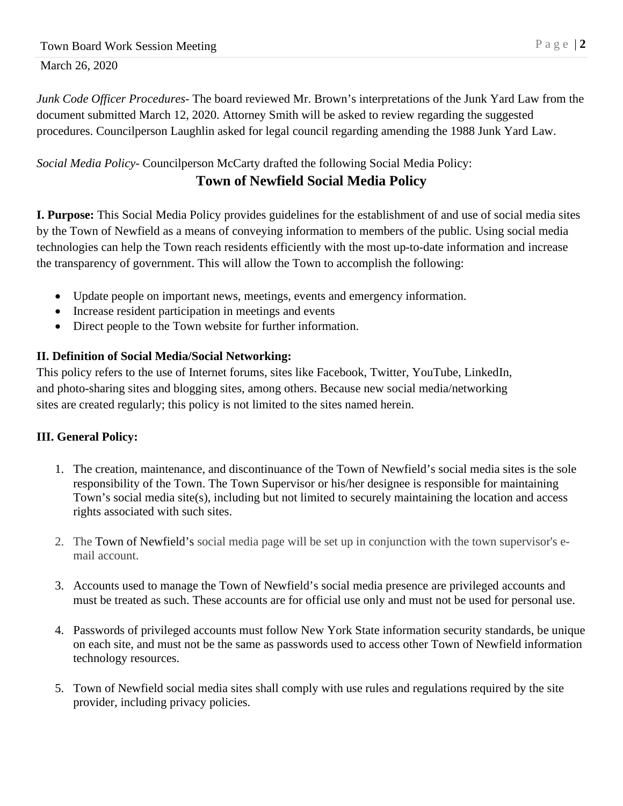*Junk Code Officer Procedures-* The board reviewed Mr. Brown's interpretations of the Junk Yard Law from the document submitted March 12, 2020. Attorney Smith will be asked to review regarding the suggested procedures. Councilperson Laughlin asked for legal council regarding amending the 1988 Junk Yard Law.

## *Social Media Policy*- Councilperson McCarty drafted the following Social Media Policy: **Town of Newfield Social Media Policy**

**I. Purpose:** This Social Media Policy provides guidelines for the establishment of and use of social media sites by the Town of Newfield as a means of conveying information to members of the public. Using social media technologies can help the Town reach residents efficiently with the most up-to-date information and increase the transparency of government. This will allow the Town to accomplish the following:

- Update people on important news, meetings, events and emergency information.
- Increase resident participation in meetings and events
- Direct people to the Town website for further information.

## **II. Definition of Social Media/Social Networking:**

This policy refers to the use of Internet forums, sites like Facebook, Twitter, YouTube, LinkedIn, and photo-sharing sites and blogging sites, among others. Because new social media/networking sites are created regularly; this policy is not limited to the sites named herein.

# **III. General Policy:**

- 1. The creation, maintenance, and discontinuance of the Town of Newfield's social media sites is the sole responsibility of the Town. The Town Supervisor or his/her designee is responsible for maintaining Town's social media site(s), including but not limited to securely maintaining the location and access rights associated with such sites.
- 2. The Town of Newfield's social media page will be set up in conjunction with the town supervisor's email account.
- 3. Accounts used to manage the Town of Newfield's social media presence are privileged accounts and must be treated as such. These accounts are for official use only and must not be used for personal use.
- 4. Passwords of privileged accounts must follow New York State information security standards, be unique on each site, and must not be the same as passwords used to access other Town of Newfield information technology resources.
- 5. Town of Newfield social media sites shall comply with use rules and regulations required by the site provider, including privacy policies.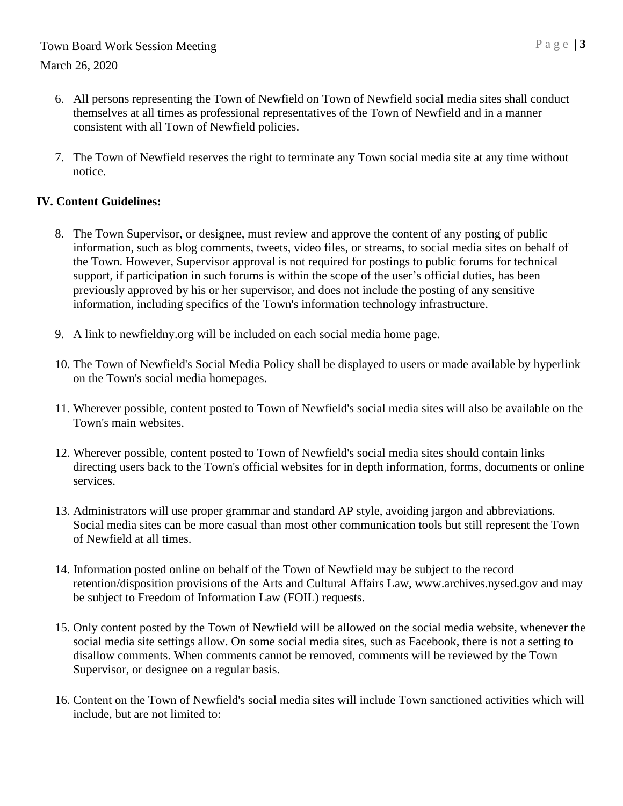- 6. All persons representing the Town of Newfield on Town of Newfield social media sites shall conduct themselves at all times as professional representatives of the Town of Newfield and in a manner consistent with all Town of Newfield policies.
- 7. The Town of Newfield reserves the right to terminate any Town social media site at any time without notice.

### **IV. Content Guidelines:**

- 8. The Town Supervisor, or designee, must review and approve the content of any posting of public information, such as blog comments, tweets, video files, or streams, to social media sites on behalf of the Town. However, Supervisor approval is not required for postings to public forums for technical support, if participation in such forums is within the scope of the user's official duties, has been previously approved by his or her supervisor, and does not include the posting of any sensitive information, including specifics of the Town's information technology infrastructure.
- 9. A link to newfieldny.org will be included on each social media home page.
- 10. The Town of Newfield's Social Media Policy shall be displayed to users or made available by hyperlink on the Town's social media homepages.
- 11. Wherever possible, content posted to Town of Newfield's social media sites will also be available on the Town's main websites.
- 12. Wherever possible, content posted to Town of Newfield's social media sites should contain links directing users back to the Town's official websites for in depth information, forms, documents or online services.
- 13. Administrators will use proper grammar and standard AP style, avoiding jargon and abbreviations. Social media sites can be more casual than most other communication tools but still represent the Town of Newfield at all times.
- 14. Information posted online on behalf of the Town of Newfield may be subject to the record retention/disposition provisions of the Arts and Cultural Affairs Law, www.archives.nysed.gov and may be subject to Freedom of Information Law (FOIL) requests.
- 15. Only content posted by the Town of Newfield will be allowed on the social media website, whenever the social media site settings allow. On some social media sites, such as Facebook, there is not a setting to disallow comments. When comments cannot be removed, comments will be reviewed by the Town Supervisor, or designee on a regular basis.
- 16. Content on the Town of Newfield's social media sites will include Town sanctioned activities which will include, but are not limited to: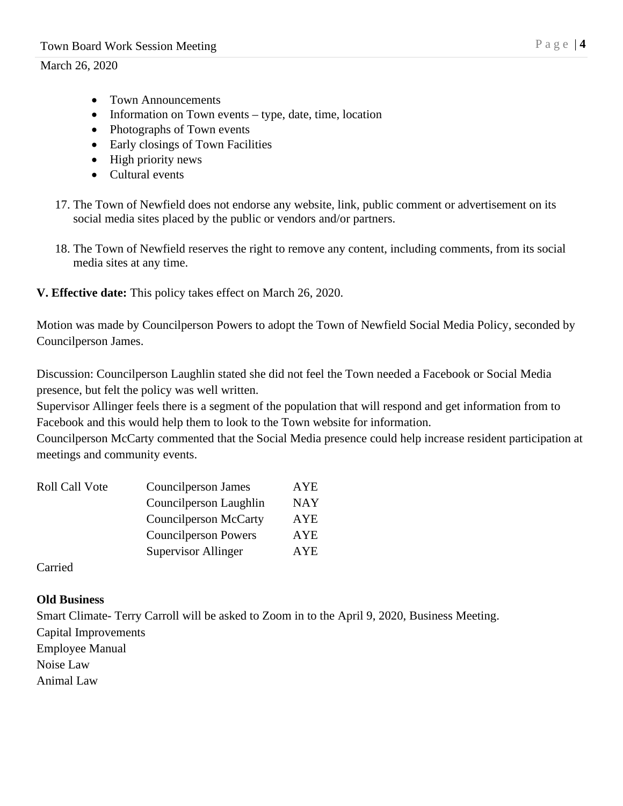- Town Announcements
- Information on Town events type, date, time, location
- Photographs of Town events
- Early closings of Town Facilities
- High priority news
- Cultural events
- 17. The Town of Newfield does not endorse any website, link, public comment or advertisement on its social media sites placed by the public or vendors and/or partners.
- 18. The Town of Newfield reserves the right to remove any content, including comments, from its social media sites at any time.

## **V. Effective date:** This policy takes effect on March 26, 2020.

Motion was made by Councilperson Powers to adopt the Town of Newfield Social Media Policy, seconded by Councilperson James.

Discussion: Councilperson Laughlin stated she did not feel the Town needed a Facebook or Social Media presence, but felt the policy was well written.

Supervisor Allinger feels there is a segment of the population that will respond and get information from to Facebook and this would help them to look to the Town website for information.

Councilperson McCarty commented that the Social Media presence could help increase resident participation at meetings and community events.

| <b>Roll Call Vote</b> | Councilperson James          | AYE        |
|-----------------------|------------------------------|------------|
|                       | Councilperson Laughlin       | <b>NAY</b> |
|                       | <b>Councilperson McCarty</b> | <b>AYE</b> |
|                       | <b>Councilperson Powers</b>  | <b>AYE</b> |
|                       | Supervisor Allinger          | AYE.       |
|                       |                              |            |

Carried

## **Old Business**

Smart Climate- Terry Carroll will be asked to Zoom in to the April 9, 2020, Business Meeting.

Capital Improvements

Employee Manual Noise Law

Animal Law